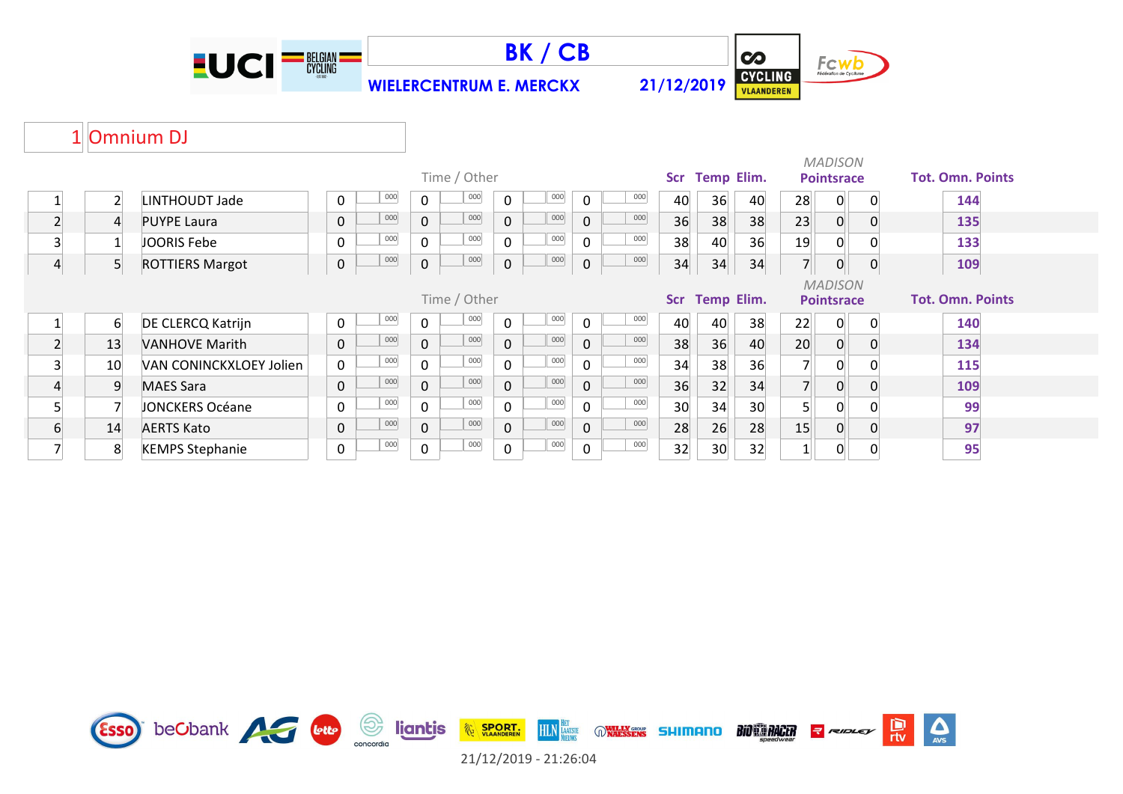





### 1 Omnium DJ

| Time / Other |                |                         |  |                  |     |                |     |  |                     |     |             |     |                 | <b>Temp Elim.</b> |    |                   | <b>MADISON</b><br><b>Pointsrace</b> |   | <b>Tot. Omn. Points</b> |  |
|--------------|----------------|-------------------------|--|------------------|-----|----------------|-----|--|---------------------|-----|-------------|-----|-----------------|-------------------|----|-------------------|-------------------------------------|---|-------------------------|--|
|              |                |                         |  |                  |     |                |     |  |                     |     |             |     | Scr             |                   |    |                   |                                     |   |                         |  |
|              | $\overline{2}$ | <b>LINTHOUDT Jade</b>   |  | $\Omega$         | 000 | $\mathbf{0}$   | 000 |  | 0                   | 000 | 0           | 000 | 40              | 36                | 40 | 28                | 0                                   | 0 | 144                     |  |
|              | $\overline{4}$ | <b>PUYPE Laura</b>      |  | $\mathbf 0$      | 000 | $\overline{0}$ | 000 |  | $\mathbf 0$         | 000 | $\mathbf 0$ | 000 | 36              | 38                | 38 | 23                | 0                                   |   | 135                     |  |
|              |                | JOORIS Febe             |  | $\mathbf 0$      | 000 | $\mathbf 0$    | 000 |  | $\mathbf 0$         | 000 | 0           | 000 | 38              | 40                | 36 | 19                | 0                                   |   | 133                     |  |
|              | 5 <sup>1</sup> | <b>ROTTIERS Margot</b>  |  | $\boldsymbol{0}$ | 000 | $\mathbf 0$    | 000 |  | $\mathsf{O}\xspace$ | 000 | 0           | 000 | 34              | 34                | 34 | 7 <sup>1</sup>    | $\mathbf{0}$                        | 0 | 109                     |  |
|              |                |                         |  |                  |     |                |     |  |                     |     |             |     |                 |                   |    |                   | <b>MADISON</b>                      |   |                         |  |
| Time / Other |                |                         |  |                  |     |                |     |  |                     |     |             |     | <b>Scr</b>      | <b>Temp Elim.</b> |    | <b>Pointsrace</b> |                                     |   | <b>Tot. Omn. Points</b> |  |
|              | 6              | DE CLERCQ Katrijn       |  | 0                | 000 | 0              | 000 |  | 0                   | 000 | 0           | 000 | 40              | 40                | 38 | 22                | 0                                   | 0 | 140                     |  |
|              | 13             | <b>VANHOVE Marith</b>   |  | $\mathbf 0$      | 000 | $\mathbf{0}$   | 000 |  | $\mathbf 0$         | 000 | 0           | 000 | 38              | 36                | 40 | 20                | $\Omega$                            |   | 134                     |  |
|              | 10             | VAN CONINCKXLOEY Jolien |  | 0                | 000 | $\mathbf 0$    | 000 |  | $\mathbf 0$         | 000 | 0           | 000 | 34              | 38                | 36 |                   | 0                                   |   | 115                     |  |
|              | 9              | <b>MAES Sara</b>        |  | 0                | 000 | $\mathbf 0$    | 000 |  | $\mathbf 0$         | 000 | 0           | 000 | 36              | 32                | 34 |                   | $\mathbf 0$                         |   | 109                     |  |
|              |                | <b>JONCKERS Océane</b>  |  | 0                | 000 | $\mathbf 0$    | 000 |  | $\mathbf 0$         | 000 | $\mathbf 0$ | 000 | 30 <sup>°</sup> | 34                | 30 |                   | 0                                   |   | 99                      |  |
| 6            | 14             | <b>AERTS Kato</b>       |  | $\mathbf 0$      | 000 | $\overline{0}$ | 000 |  | $\mathbf 0$         | 000 | 0           | 000 | 28              | 26                | 28 | 15                | $\overline{0}$                      | 0 | 97                      |  |
|              | 8              | <b>KEMPS Stephanie</b>  |  | 0                | 000 | 0              | 000 |  | 0                   | 000 | 0           | 000 | 32              | 30                | 32 |                   | 0                                   |   | 95                      |  |

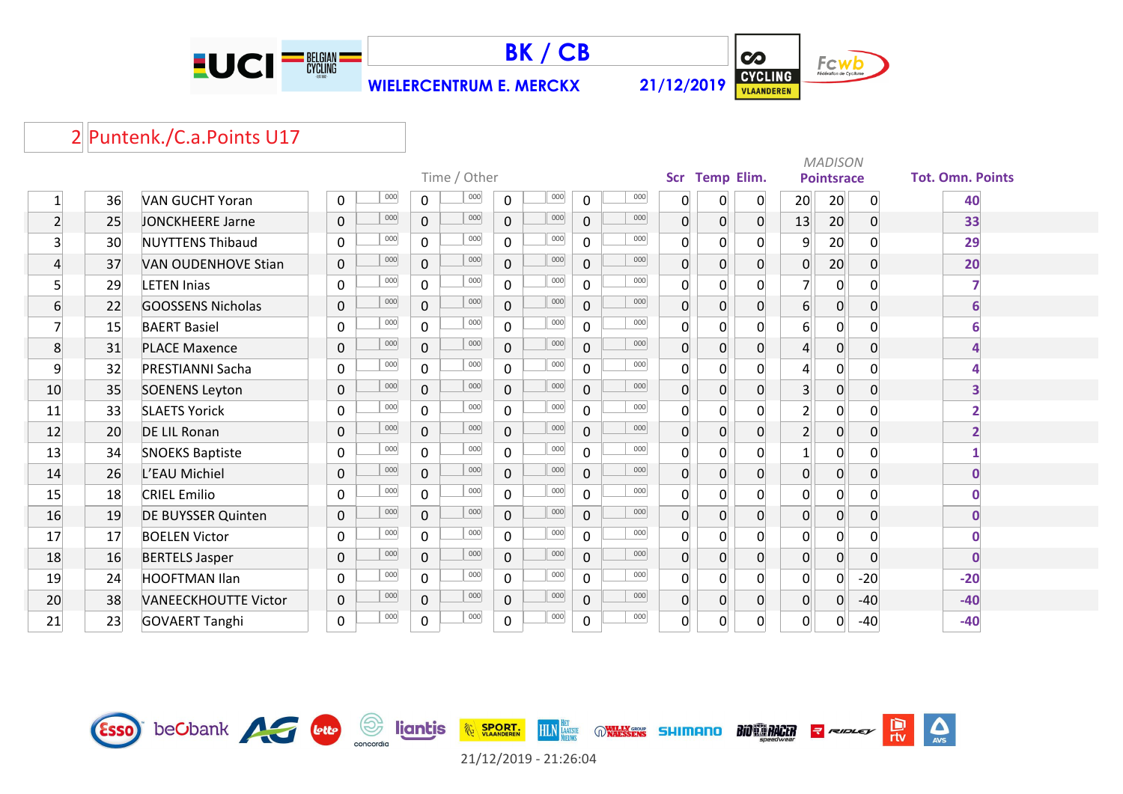



 $\infty$ Fcwb **CYCLING** 

 $\frac{D}{\pi v}$ 

 $\Delta$ 

# 2 Puntenk./C.a.Points U17

|                  |    |                             |  |              |     |                |              |                |     |                |     |                |                |                | <b>MADISON</b> |                   |                |                         |              |  |
|------------------|----|-----------------------------|--|--------------|-----|----------------|--------------|----------------|-----|----------------|-----|----------------|----------------|----------------|----------------|-------------------|----------------|-------------------------|--------------|--|
|                  |    |                             |  |              |     |                | Time / Other |                |     |                |     | <b>Scr</b>     | Temp Elim.     |                |                | <b>Pointsrace</b> |                | <b>Tot. Omn. Points</b> |              |  |
| $\mathbf{1}$     | 36 | <b>VAN GUCHT Yoran</b>      |  | 0            | 000 | $\Omega$       | 000          | $\mathbf 0$    | 000 | $\mathbf 0$    | 000 | 0              | 0              | 0              | 20             | 20                | 0              |                         | 40           |  |
| $\overline{2}$   | 25 | JONCKHEERE Jarne            |  | $\mathbf 0$  | 000 | $\overline{0}$ | 000          | $\overline{0}$ | 000 | $\mathbf{0}$   | 000 | $\overline{0}$ | 0              | 0              | 13             | 20                | $\overline{0}$ |                         | 33           |  |
| $\overline{3}$   | 30 | <b>NUYTTENS Thibaud</b>     |  | $\mathbf{0}$ | 000 | $\Omega$       | 000          | $\mathbf 0$    | 000 | $\mathbf 0$    | 000 | 0              | $\mathbf 0$    | 0              | 9              | 20                | $\Omega$       |                         | 29           |  |
| 4                | 37 | <b>VAN OUDENHOVE Stian</b>  |  | $\Omega$     | 000 | $\overline{0}$ | 000          | $\overline{0}$ | 000 | $\overline{0}$ | 000 | $\Omega$       | $\overline{0}$ | $\overline{0}$ | $\overline{0}$ | 20                | $\Omega$       |                         | 20           |  |
| 5                | 29 | <b>LETEN Inias</b>          |  | $\mathbf{0}$ | 000 | $\Omega$       | 000          | $\overline{0}$ | 000 | $\mathbf{0}$   | 000 | 0              | $\mathbf 0$    | 0              | $\overline{7}$ | 0                 | $\Omega$       |                         |              |  |
| $6 \overline{6}$ | 22 | <b>GOOSSENS Nicholas</b>    |  | $\Omega$     | 000 | $\overline{0}$ | 000          | $\overline{0}$ | 000 | $\overline{0}$ | 000 | 0              | $\overline{0}$ | $\overline{0}$ | $6 \mid$       | $\overline{0}$    | $\Omega$       |                         | 6            |  |
| 7                | 15 | <b>BAERT Basiel</b>         |  | 0            | 000 | $\mathbf 0$    | 000          | $\mathbf 0$    | 000 | $\mathbf 0$    | 000 | 0              | $\mathbf 0$    | $\Omega$       | $6 \vert$      | 0                 | $\mathbf{0}$   |                         |              |  |
| 8                | 31 | <b>PLACE Maxence</b>        |  | $\mathbf 0$  | 000 | $\Omega$       | 000          | $\overline{0}$ | 000 | $\overline{0}$ | 000 | $\Omega$       | $\pmb{0}$      | $\overline{0}$ | $\overline{4}$ | $\overline{0}$    | $\Omega$       |                         | 4            |  |
| 9                | 32 | <b>PRESTIANNI Sacha</b>     |  | $\mathbf 0$  | 000 | 0              | 000          | 0              | 000 | $\mathbf{0}$   | 000 | 0              | $\overline{0}$ | 0              | $\overline{4}$ | 0                 | $\Omega$       |                         |              |  |
| 10               | 35 | <b>SOENENS Leyton</b>       |  | $\mathbf 0$  | 000 | $\mathbf 0$    | 000          | $\overline{0}$ | 000 | $\mathbf 0$    | 000 | 0              | $\pmb{0}$      | $\overline{0}$ | 3 <sup>1</sup> | 0                 | 0              |                         | 3            |  |
| 11               | 33 | <b>SLAETS Yorick</b>        |  | $\mathbf 0$  | 000 | $\mathbf 0$    | 000          | 0              | 000 | $\mathbf{0}$   | 000 | 0              | $\mathbf 0$    | 0              | $\overline{2}$ | 0                 | $\Omega$       |                         |              |  |
| 12               | 20 | DE LIL Ronan                |  | $\mathbf{0}$ | 000 | $\mathbf{0}$   | 000          | $\overline{0}$ | 000 | $\mathbf 0$    | 000 | $\overline{0}$ | $\pmb{0}$      | 0              | $2 \nvert$     | 0                 | $\Omega$       |                         | 2            |  |
| 13               | 34 | <b>SNOEKS Baptiste</b>      |  | $\Omega$     | 000 | $\Omega$       | 000          | $\mathbf 0$    | 000 | $\Omega$       | 000 | 0              | $\mathbf 0$    | 0              | $\mathbf{1}$   | 0                 | O              |                         |              |  |
| 14               | 26 | L'EAU Michiel               |  | $\mathbf 0$  | 000 | 0              | 000          | $\overline{0}$ | 000 | $\overline{0}$ | 000 | 0              | $\overline{0}$ | 0              | $\overline{0}$ | $\overline{0}$    | 0              |                         | 0            |  |
| 15               | 18 | <b>CRIEL Emilio</b>         |  | $\Omega$     | 000 | $\mathbf{0}$   | 000          | $\mathbf{0}$   | 000 | $\Omega$       | 000 | $\Omega$       | $\Omega$       | 0              | $\overline{0}$ | $\overline{0}$    | O              |                         |              |  |
| 16               | 19 | <b>DE BUYSSER Quinten</b>   |  | $\mathbf 0$  | 000 | 0              | 000          | $\overline{0}$ | 000 | $\mathbf 0$    | 000 | 0              | 0              | $\overline{0}$ | $\overline{0}$ | 0                 | $\mathbf 0$    |                         | $\mathbf{0}$ |  |
| 17               | 17 | <b>BOELEN Victor</b>        |  | $\mathbf{0}$ | 000 | $\mathbf{0}$   | 000          | $\mathbf 0$    | 000 | $\mathbf 0$    | 000 | 0              | $\mathbf 0$    | 0              | $\mathbf 0$    | 0                 | $\Omega$       |                         | U            |  |
| 18               | 16 | <b>BERTELS Jasper</b>       |  | $\mathbf 0$  | 000 | $\overline{0}$ | 000          | $\overline{0}$ | 000 | $\overline{0}$ | 000 | $\overline{0}$ | 0              | $\overline{0}$ | $\overline{0}$ | $\overline{0}$    | $\overline{0}$ |                         | $\mathbf 0$  |  |
| 19               | 24 | <b>HOOFTMAN Ilan</b>        |  | $\Omega$     | 000 | $\Omega$       | 000          | $\overline{0}$ | 000 | $\Omega$       | 000 | $\Omega$       | $\mathbf 0$    | 0              | $\overline{0}$ | 0                 | $-20$          |                         | $-20$        |  |
| 20               | 38 | <b>VANEECKHOUTTE Victor</b> |  | $\mathbf 0$  | 000 | 0              | 000          | $\overline{0}$ | 000 | 0              | 000 | 0              | $\overline{0}$ | $\overline{0}$ | $\overline{0}$ | $\overline{0}$    | $-40$          |                         | $-40$        |  |
| 21               | 23 | <b>GOVAERT Tanghi</b>       |  | 0            | 000 | $\mathsf{O}$   | 000          | 0              | 000 | 0              | 000 | 0              | $\pmb{0}$      | $\Omega$       | $\overline{0}$ | 0                 | $-40$          |                         | $-40$        |  |

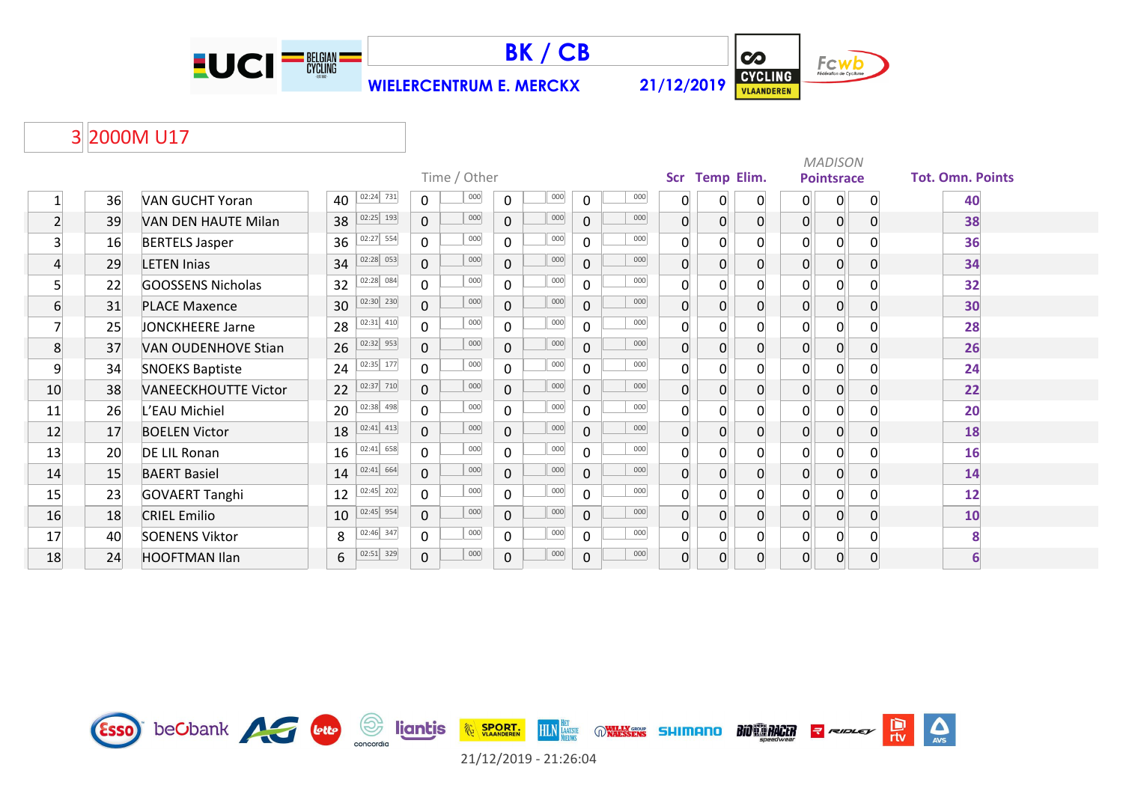





 $\Delta$ 

 $\frac{D}{\pi v}$ 

**RIDLEY** 

### 3 2000M U17

|                |    |                             |    |             |                | Time / Other |                     |     |                |     |                | Scr Temp Elim. |              |                | <b>MADISON</b><br><b>Pointsrace</b> |          | <b>Tot. Omn. Points</b> |
|----------------|----|-----------------------------|----|-------------|----------------|--------------|---------------------|-----|----------------|-----|----------------|----------------|--------------|----------------|-------------------------------------|----------|-------------------------|
|                | 36 | <b>VAN GUCHT Yoran</b>      | 40 | 02:24 731   | $\mathbf 0$    | 000          | $\mathbf 0$         | 000 | 0              | 000 | 0              | 0              | 0            | 0              | $\overline{0}$                      | $\Omega$ | 40                      |
| $\mathbf{2}$   | 39 | VAN DEN HAUTE Milan         | 38 | 02:25 193   | $\overline{0}$ | 000          | $\mathbf{0}$        | 000 | $\mathbf{0}$   | 000 | 0              | $\overline{0}$ | $\mathbf{0}$ | $\overline{0}$ | $\overline{0}$                      | $\Omega$ | 38                      |
| 3 <sup>1</sup> | 16 | <b>BERTELS Jasper</b>       | 36 | 02:27 554   | $\overline{0}$ | 000          | $\mathbf 0$         | 000 | $\mathsf{O}$   | 000 | $\Omega$       | $\Omega$       | 0            | $\overline{0}$ | $\mathbf 0$                         | $\Omega$ | 36                      |
| 4              | 29 | <b>LETEN Inias</b>          | 34 | 02:28 053   | $\overline{0}$ | 000          | $\mathbf 0$         | 000 | $\overline{0}$ | 000 | $\Omega$       | $\Omega$       | $\Omega$     | $\Omega$       | $\overline{0}$                      | $\Omega$ | 34                      |
| 5              | 22 | <b>GOOSSENS Nicholas</b>    | 32 | 02:28 084   | $\overline{0}$ | 000          | $\mathbf 0$         | 000 | $\mathbf{0}$   | 000 | $\Omega$       | $\Omega$       | U            |                | $\Omega$                            |          | 32                      |
| 6              | 31 | <b>PLACE Maxence</b>        | 30 | 02:30 230   | $\mathbf 0$    | 000          | $\mathbf 0$         | 000 | $\mathbf 0$    | 000 | 0              | $\overline{0}$ | $\mathbf{0}$ | $\Omega$       | $\overline{0}$                      | $\Omega$ | 30                      |
| 7              | 25 | JONCKHEERE Jarne            | 28 | 02:31 410   | $\overline{0}$ | 000          | $\mathbf 0$         | 000 | $\mathbf{0}$   | 000 | $\overline{0}$ | 0              | $\mathbf{0}$ | $\overline{0}$ | $\overline{0}$                      | $\Omega$ | 28                      |
| 8              | 37 | VAN OUDENHOVE Stian         | 26 | 02:32 953   | $\overline{0}$ | 000          | $\mathbf 0$         | 000 | $\overline{0}$ | 000 | $\Omega$       | $\mathbf{0}$   | $\Omega$     | $\Omega$       | $\overline{0}$                      | $\Omega$ | 26                      |
| 9              | 34 | <b>SNOEKS Baptiste</b>      | 24 | 02:35 177   | 0              | 000          | $\mathbf 0$         | 000 | $\mathbf{0}$   | 000 | $\Omega$       | $\Omega$       | $\Omega$     | $\Omega$       | $\overline{0}$                      |          | 24                      |
| 10             | 38 | <b>VANEECKHOUTTE Victor</b> | 22 | 02:37 710   | $\mathbf 0$    | 000          | $\mathbf 0$         | 000 | $\mathbf 0$    | 000 | 0              | $\overline{0}$ | $\mathbf{0}$ | $\overline{0}$ | $\overline{0}$                      | $\Omega$ | 22                      |
| 11             | 26 | L'EAU Michiel               | 20 | 02:38 498   | $\overline{0}$ | 000          | $\mathbf 0$         | 000 | $\mathsf{O}$   | 000 | $\Omega$       | $\Omega$       | $\Omega$     | $\overline{0}$ | $\overline{0}$                      |          | 20                      |
| 12             | 17 | <b>BOELEN Victor</b>        | 18 | $02:41$ 413 | $\overline{0}$ | 000          | $\mathbf 0$         | 000 | $\overline{0}$ | 000 | $\Omega$       | $\Omega$       | $\Omega$     | $\Omega$       | $\overline{0}$                      | $\Omega$ | 18                      |
| 13             | 20 | DE LIL Ronan                | 16 | 02:41 658   | $\overline{0}$ | 000          | $\mathbf 0$         | 000 | $\mathbf{0}$   | 000 | $\Omega$       | $\Omega$       | U            |                | $\overline{0}$                      |          | 16                      |
| 14             | 15 | <b>BAERT Basiel</b>         | 14 | 02:41 664   | $\mathbf 0$    | 000          | $\mathbf 0$         | 000 | $\mathbf 0$    | 000 | 0              | $\overline{0}$ | $\mathbf{0}$ | $\overline{0}$ | $\overline{0}$                      | $\Omega$ | 14                      |
| 15             | 23 | <b>GOVAERT Tanghi</b>       | 12 | 02:45 202   | 0              | 000          | $\mathbf 0$         | 000 | $\mathsf{O}$   | 000 | $\overline{0}$ | 0              | $\Omega$     | $\overline{0}$ | $\overline{0}$                      | $\Omega$ | 12                      |
| 16             | 18 | <b>CRIEL Emilio</b>         | 10 | 02:45 954   | $\overline{0}$ | 000          | $\mathbf{0}$        | 000 | $\overline{0}$ | 000 | $\Omega$       | $\overline{0}$ | $\Omega$     | $\Omega$       | 0                                   | $\Omega$ | 10                      |
| 17             | 40 | <b>SOENENS Viktor</b>       | 8  | 02:46 347   | 0              | 000          | $\mathbf 0$         | 000 | $\mathbf 0$    | 000 | $\Omega$       | $\Omega$       | $\Omega$     | $\Omega$       | $\overline{0}$                      | $\Omega$ | 8                       |
| 18             | 24 | <b>HOOFTMAN Ilan</b>        | 6  | 02:51 329   | $\mathbf 0$    | 000          | $\mathsf{O}\xspace$ | 000 | $\mathbf 0$    | 000 | $\Omega$       | $\Omega$       | $\Omega$     | $\overline{0}$ | $\overline{0}$                      | $\Omega$ | 6                       |

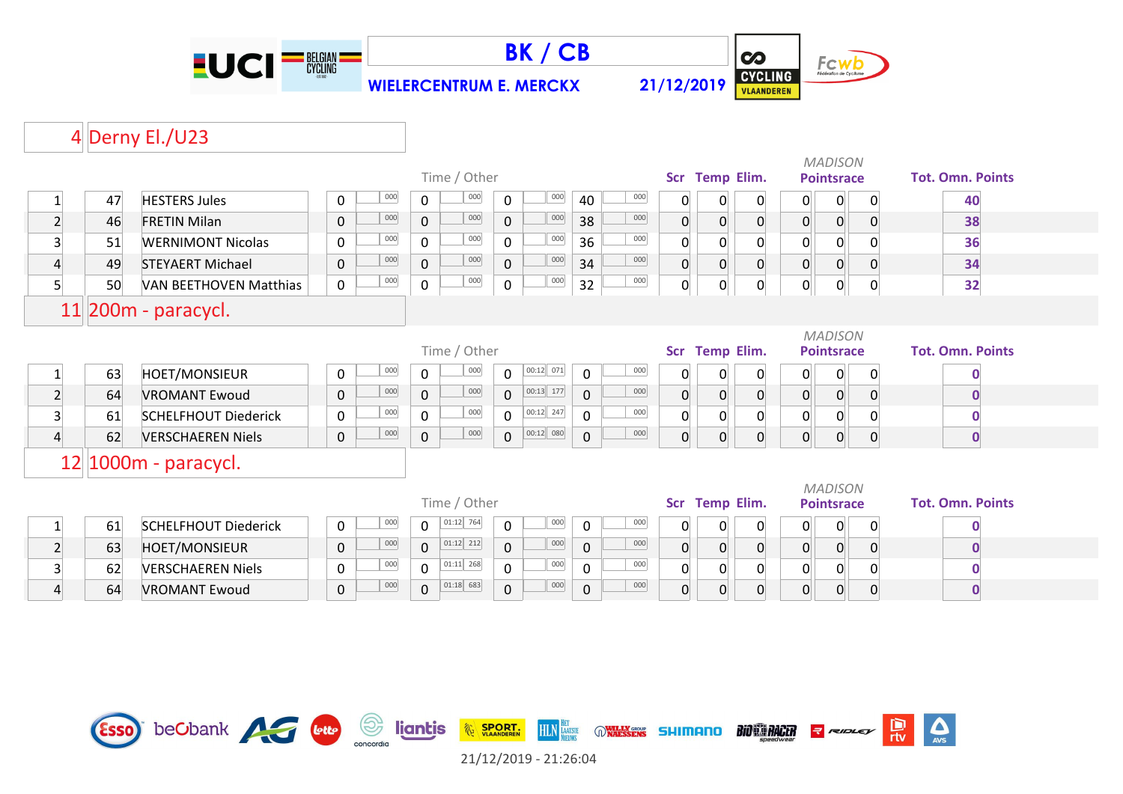





 $\Delta$ 

#### 4 Derny El./U23

|                 |    |                               |             |     |              | Time / Other |              |             |             |     |                | Scr Temp Elim.    |                  |                | <b>MADISON</b><br><b>Pointsrace</b> |                | <b>Tot. Omn. Points</b> |
|-----------------|----|-------------------------------|-------------|-----|--------------|--------------|--------------|-------------|-------------|-----|----------------|-------------------|------------------|----------------|-------------------------------------|----------------|-------------------------|
|                 |    |                               |             | 000 |              | 000          |              | 000         |             | 000 |                |                   |                  |                |                                     |                |                         |
| $\mathbf{1}$    | 47 | <b>HESTERS Jules</b>          | 0           |     | 0            |              | $\mathbf 0$  |             | 40          |     | 0              | 0                 | 0                | 0              | $\overline{0}$                      | $\Omega$       | 40                      |
| $\overline{2}$  | 46 | <b>FRETIN Milan</b>           | $\mathbf 0$ | 000 | $\mathbf 0$  | 000          | $\mathbf 0$  | 000         | 38          | 000 | $\overline{0}$ | $\overline{0}$    | $\mathbf 0$      | $\overline{0}$ | $\overline{0}$                      | $\Omega$       | 38                      |
| 3               | 51 | <b>WERNIMONT Nicolas</b>      | $\mathbf 0$ | 000 | $\mathbf 0$  | 000          | $\mathbf 0$  | 000         | 36          | 000 | $\Omega$       | $\mathbf 0$       | 0                | $\overline{0}$ | $\overline{0}$                      | 0              | 36                      |
| $\overline{4}$  | 49 | <b>STEYAERT Michael</b>       | $\mathbf 0$ | 000 | $\mathbf 0$  | 000          | $\Omega$     | 000         | 34          | 000 | 0              | $\overline{0}$    | $\overline{0}$   | $\overline{0}$ | $\overline{0}$                      | $\Omega$       | 34                      |
| 5 <sup>1</sup>  | 50 | <b>VAN BEETHOVEN Matthias</b> | $\mathbf 0$ | 000 | $\mathbf 0$  | 000          | $\mathbf 0$  | 000         | 32          | 000 | 0              | $\overline{0}$    | 0                | 0              | 0                                   | $\Omega$       | 32                      |
|                 |    | $11$  200m - paracycl.        |             |     |              |              |              |             |             |     |                |                   |                  |                |                                     |                |                         |
|                 |    |                               |             |     |              |              |              |             |             |     |                |                   |                  |                | <b>MADISON</b>                      |                |                         |
|                 |    |                               |             |     |              | Time / Other |              |             |             |     |                | Scr Temp Elim.    |                  |                | <b>Pointsrace</b>                   |                | <b>Tot. Omn. Points</b> |
| $\mathbf{1}$    | 63 | <b>HOET/MONSIEUR</b>          | 0           | 000 | $\mathbf 0$  | 000          | $\mathbf{0}$ | 00:12 071   | 0           | 000 | 0              | $\overline{0}$    | 0                | 0              | $\overline{0}$                      | $\Omega$       |                         |
| $\overline{2}$  | 64 | <b>VROMANT Ewoud</b>          | $\mathbf 0$ | 000 | $\mathbf{0}$ | 000          | $\Omega$     | $00:13$ 177 | $\mathbf 0$ | 000 | 0              | $\overline{0}$    | $\pmb{0}$        | $\overline{0}$ | $\overline{0}$                      | $\Omega$       | $\mathbf 0$             |
| $\overline{3}$  | 61 | <b>SCHELFHOUT Diederick</b>   | 0           | 000 | $\Omega$     | 000          | $\Omega$     | 00:12 247   | $\Omega$    | 000 | $\Omega$       | $\overline{0}$    | 0                | $\overline{0}$ | $\overline{0}$                      |                | $\mathbf 0$             |
| $\vert 4 \vert$ | 62 | <b>VERSCHAEREN Niels</b>      | $\mathbf 0$ | 000 | $\mathbf 0$  | 000          | $\Omega$     | 00:12 080   | $\pmb{0}$   | 000 | 0              | $\overline{0}$    | $\boldsymbol{0}$ | $\overline{0}$ | $\overline{0}$                      | $\overline{0}$ | $\mathbf 0$             |
|                 |    | $12 1000m -$ paracycl.        |             |     |              |              |              |             |             |     |                |                   |                  |                |                                     |                |                         |
|                 |    |                               |             |     |              |              |              |             |             |     |                |                   |                  |                | <b>MADISON</b>                      |                |                         |
|                 |    |                               |             |     |              | Time / Other |              |             |             |     | <b>Scr</b>     | <b>Temp Elim.</b> |                  |                | <b>Pointsrace</b>                   |                | <b>Tot. Omn. Points</b> |
| $\mathbf{1}$    | 61 | <b>SCHELFHOUT Diederick</b>   | $\mathbf 0$ | 000 | $\mathbf 0$  | 01:12 764    | $\mathbf 0$  | 000         | 0           | 000 | 0              | $\overline{0}$    | 0                | 0              | $\mathbf 0$                         | $\Omega$       | $\bf{0}$                |
| $\overline{2}$  | 63 | <b>HOET/MONSIEUR</b>          | $\mathbf 0$ | 000 | $\mathbf{0}$ | $01:12$ 212  | $\Omega$     | 000         | $\mathbf 0$ | 000 | $\overline{0}$ | $\overline{0}$    | $\overline{0}$   | $\overline{0}$ | $\overline{0}$                      | $\Omega$       | $\mathbf{0}$            |
| 3               | 62 | <b>VERSCHAEREN Niels</b>      | $\Omega$    | 000 | $\Omega$     | $01:11$ 268  | $\Omega$     | 000         | 0           | 000 | 0              | $\mathbf 0$       | $\mathbf 0$      | 0              | $\overline{0}$                      | $\Omega$       | $\bf{0}$                |
| $\overline{4}$  | 64 | <b>VROMANT Ewoud</b>          | 0           | 000 | $\mathbf 0$  | $01:18$ 683  | $\mathbf{0}$ | 000         | $\mathbf 0$ | 000 | $\Omega$       | $\overline{0}$    | $\overline{0}$   | $\overline{0}$ | $\overline{0}$                      | <sup>0</sup>   | $\mathbf 0$             |



21/12/2019 - 21:26:04